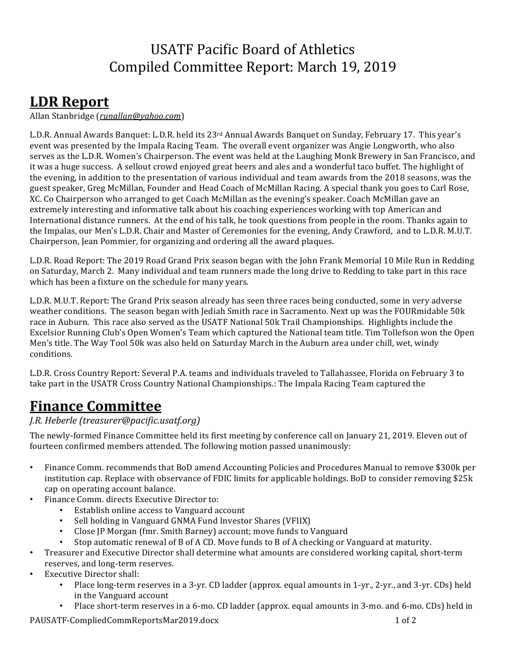# USATF Pacific Board of Athletics Compiled Committee Report: March 19, 2019

# **LDR Report**

Allan Stanbridge (*runallan@yahoo.com*)

L.D.R. Annual Awards Banquet: L.D.R. held its 23<sup>rd</sup> Annual Awards Banquet on Sunday, February 17. This year's event was presented by the Impala Racing Team. The overall event organizer was Angie Longworth, who also serves as the L.D.R. Women's Chairperson. The event was held at the Laughing Monk Brewery in San Francisco, and it was a huge success. A sellout crowd enjoyed great beers and ales and a wonderful taco buffet. The highlight of the evening, in addition to the presentation of various individual and team awards from the 2018 seasons, was the guest speaker, Greg McMillan, Founder and Head Coach of McMillan Racing. A special thank you goes to Carl Rose, XC. Co Chairperson who arranged to get Coach McMillan as the evening's speaker. Coach McMillan gave an extremely interesting and informative talk about his coaching experiences working with top American and International distance runners. At the end of his talk, he took questions from people in the room. Thanks again to the Impalas, our Men's L.D.R. Chair and Master of Ceremonies for the evening, Andy Crawford, and to L.D.R. M.U.T. Chairperson, Jean Pommier, for organizing and ordering all the award plaques.

L.D.R. Road Report: The 2019 Road Grand Prix season began with the John Frank Memorial 10 Mile Run in Redding on Saturday, March 2. Many individual and team runners made the long drive to Redding to take part in this race which has been a fixture on the schedule for many years.

L.D.R. M.U.T. Report: The Grand Prix season already has seen three races being conducted, some in very adverse weather conditions. The season began with Jediah Smith race in Sacramento. Next up was the FOURmidable 50k race in Auburn. This race also served as the USATF National 50k Trail Championships. Highlights include the Excelsior Running Club's Open Women's Team which captured the National team title. Tim Tollefson won the Open Men's title. The Way Tool 50k was also held on Saturday March in the Auburn area under chill, wet, windy conditions. 

L.D.R. Cross Country Report: Several P.A. teams and individuals traveled to Tallahassee, Florida on February 3 to take part in the USATR Cross Country National Championships.: The Impala Racing Team captured the

# **Finance Committee**

#### *J.R. Heberle (treasurer@pacific.usatf.org)*

The newly-formed Finance Committee held its first meeting by conference call on January 21, 2019. Eleven out of fourteen confirmed members attended. The following motion passed unanimously:

- Finance Comm. recommends that BoD amend Accounting Policies and Procedures Manual to remove \$300k per institution cap. Replace with observance of FDIC limits for applicable holdings. BoD to consider removing \$25k cap on operating account balance.
- Finance Comm. directs Executive Director to:
	- Establish online access to Vanguard account
	- Sell holding in Vanguard GNMA Fund Investor Shares (VFIIX)
	- Close JP Morgan (fmr. Smith Barney) account; move funds to Vanguard
	- Stop automatic renewal of B of A CD. Move funds to B of A checking or Vanguard at maturity.
- Treasurer and Executive Director shall determine what amounts are considered working capital, short-term reserves, and long-term reserves.
- Executive Director shall:
	- Place long-term reserves in a 3-yr. CD ladder (approx. equal amounts in 1-yr., 2-yr., and 3-yr. CDs) held in the Vanguard account
	- Place short-term reserves in a 6-mo. CD ladder (approx. equal amounts in 3-mo. and 6-mo. CDs) held in